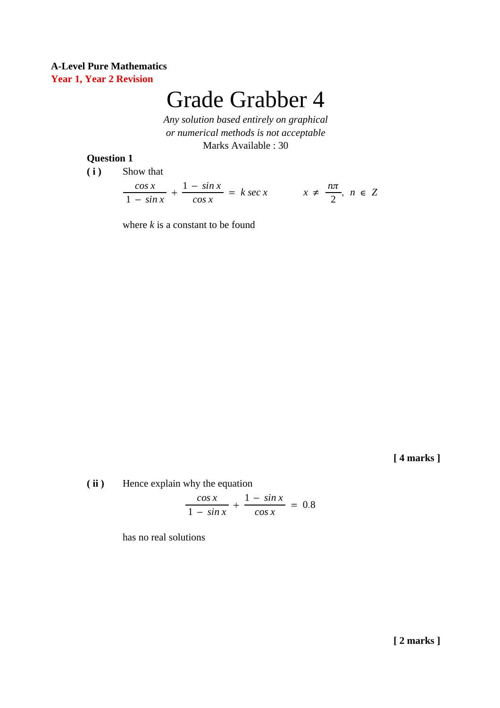# Grade Grabber 4

*Any solution based entirely on graphical or numerical methods is not acceptable* Marks Available : 30

#### **Question 1**

**( i )** Show that

*cos x* 1 − *sin x* + 1 − *sin x cos x*  $= k \sec x$   $x \neq$ *n*π 2 , *n* ∈ *Z*

where  $k$  is a constant to be found

**[ 4 marks ]**

**( ii )** Hence explain why the equation

$$
\frac{\cos x}{1 - \sin x} + \frac{1 - \sin x}{\cos x} = 0.8
$$

has no real solutions

**[ 2 marks ]**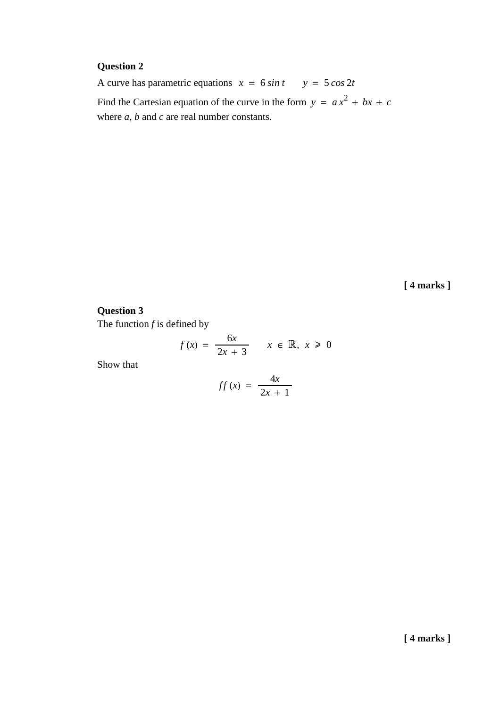# **Question 2**

A curve has parametric equations  $x = 6 \sin t$   $y = 5 \cos 2t$ Find the Cartesian equation of the curve in the form  $y = ax^2 + bx + c$ where *a*, *b* and *c* are real number constants.

**[ 4 marks ]**

## **Question 3**

The function *f* is defined by

$$
f(x) = \frac{6x}{2x + 3} \qquad x \in \mathbb{R}, \ x \ge 0
$$

Show that

$$
ff(x) = \frac{4x}{2x+1}
$$

**[ 4 marks ]**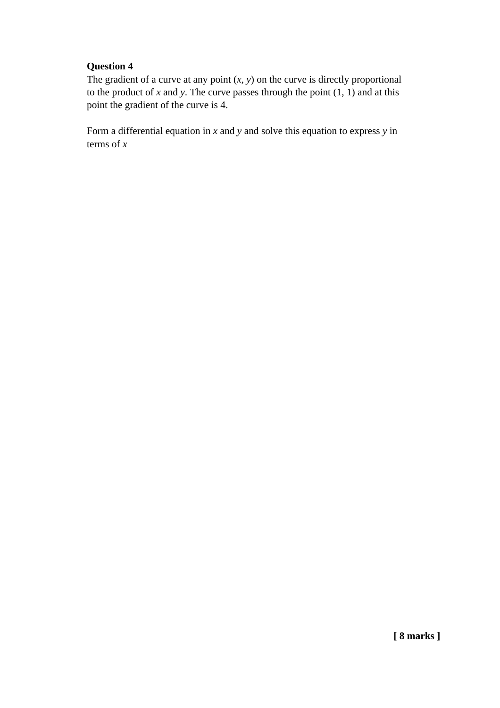## **Question 4**

The gradient of a curve at any point  $(x, y)$  on the curve is directly proportional to the product of  $x$  and  $y$ . The curve passes through the point  $(1, 1)$  and at this point the gradient of the curve is 4.

Form a differential equation in *x* and *y* and solve this equation to express *y* in terms of *x*